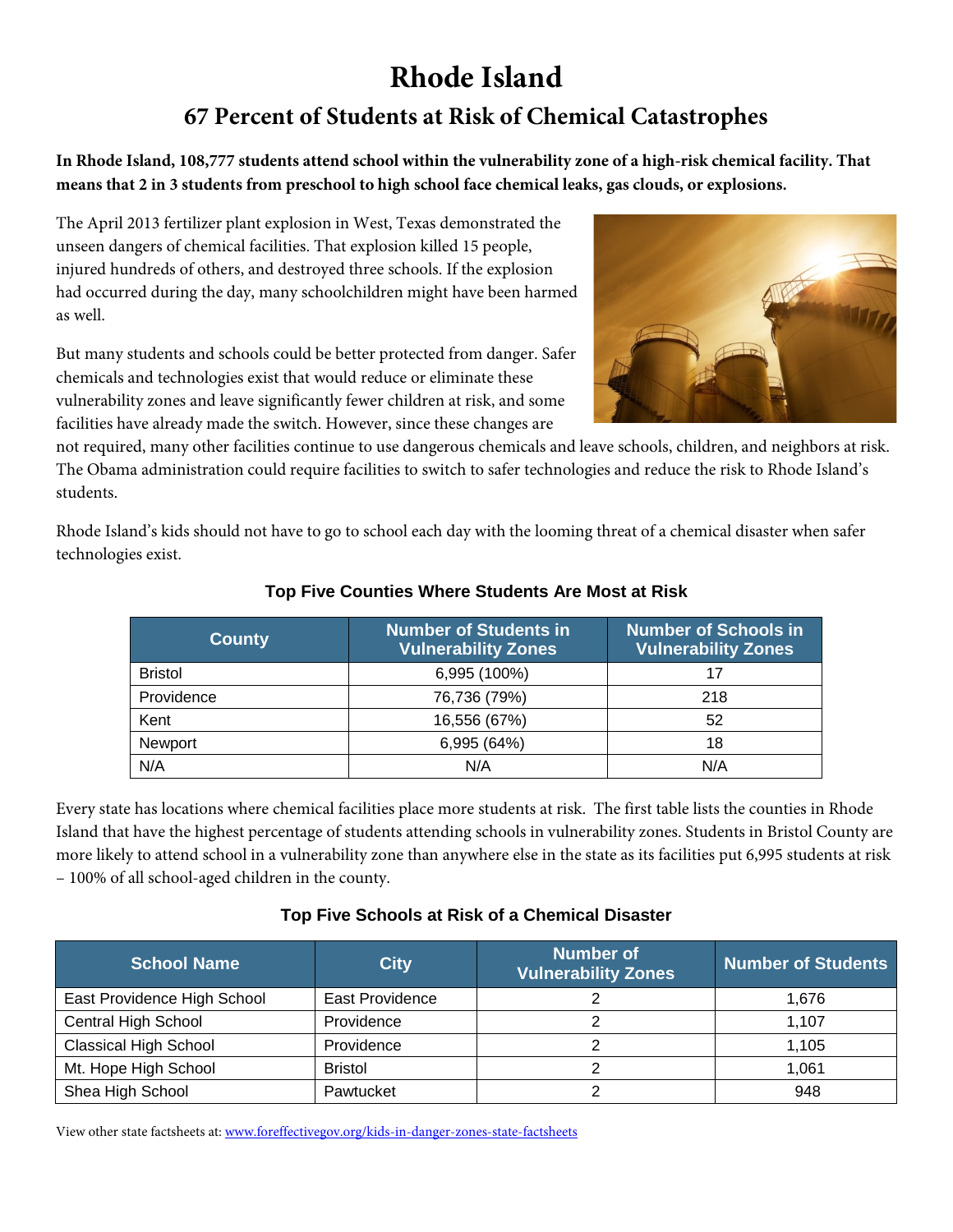# **Rhode Island 67 Percent of Students at Risk of Chemical Catastrophes**

**In Rhode Island, 108,777 students attend school within the vulnerability zone of a high-risk chemical facility. That means that 2 in 3 students from preschool to high school face chemical leaks, gas clouds, or explosions.**

The April 2013 fertilizer plant explosion in West, Texas demonstrated the unseen dangers of chemical facilities. That explosion killed 15 people, injured hundreds of others, and destroyed three schools. If the explosion had occurred during the day, many schoolchildren might have been harmed as well.

But many students and schools could be better protected from danger. Safer chemicals and technologies exist that would reduce or eliminate these vulnerability zones and leave significantly fewer children at risk, and some facilities have already made the switch. However, since these changes are

not required, many other facilities continue to use dangerous chemicals and leave schools, children, and neighbors at risk. The Obama administration could require facilities to switch to safer technologies and reduce the risk to Rhode Island's students.

Rhode Island's kids should not have to go to school each day with the looming threat of a chemical disaster when safer technologies exist.

| <b>County</b>  | <b>Number of Students in</b><br><u> Vuln</u> erability Zones | <b>Number of Schools in</b><br><b>Vulnerability Zones</b> |  |
|----------------|--------------------------------------------------------------|-----------------------------------------------------------|--|
| <b>Bristol</b> | 6,995 (100%)                                                 |                                                           |  |
| Providence     | 76,736 (79%)                                                 | 218                                                       |  |
| Kent           | 16,556 (67%)                                                 | 52                                                        |  |
| Newport        | 6,995 (64%)                                                  | 18                                                        |  |
| N/A            | N/A                                                          | N/A                                                       |  |

#### **Top Five Counties Where Students Are Most at Risk**

Every state has locations where chemical facilities place more students at risk. The first table lists the counties in Rhode Island that have the highest percentage of students attending schools in vulnerability zones. Students in Bristol County are more likely to attend school in a vulnerability zone than anywhere else in the state as its facilities put 6,995 students at risk – 100% of all school-aged children in the county.

#### **Top Five Schools at Risk of a Chemical Disaster**

| <b>School Name</b>           | <b>City</b>     | <b>Number of</b><br><b>Vulnerability Zones</b> | <b>Number of Students</b> |
|------------------------------|-----------------|------------------------------------------------|---------------------------|
| East Providence High School  | East Providence |                                                | 1.676                     |
| Central High School          | Providence      |                                                | 1.107                     |
| <b>Classical High School</b> | Providence      |                                                | 1,105                     |
| Mt. Hope High School         | <b>Bristol</b>  |                                                | 1.061                     |
| Shea High School             | Pawtucket       |                                                | 948                       |

View other state factsheets at: [www.foreffectivegov.org/kids-in-danger-zones-state-factsheets](http://www.foreffectivegov.org/kids-in-danger-zones-state-factsheets)